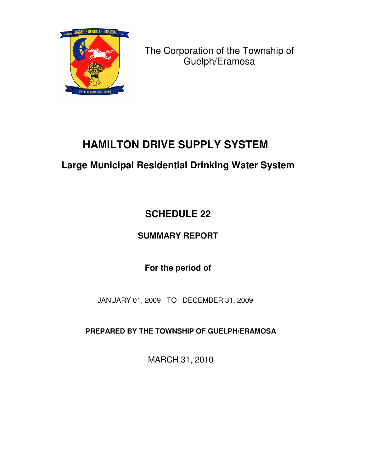

The Corporation of the Township of Guelph/Eramosa

# **HAMILTON DRIVE SUPPLY SYSTEM**

## **Large Municipal Residential Drinking Water System**

# **SCHEDULE 22**

## **SUMMARY REPORT**

## **For the period of**

JANUARY 01, 2009 TO DECEMBER 31, 2009

**PREPARED BY THE TOWNSHIP OF GUELPH/ERAMOSA**

MARCH 31, 2010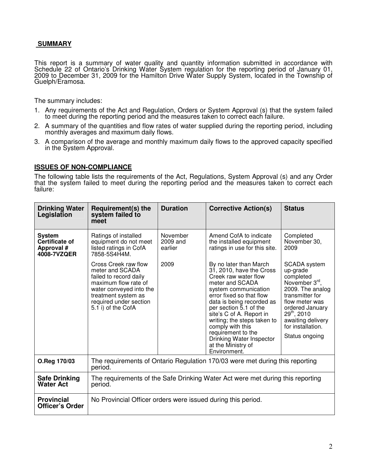### **SUMMARY**

This report is a summary of water quality and quantity information submitted in accordance with Schedule 22 of Ontario's Drinking Water System regulation for the reporting period of January 01, 2009 to December 31, 2009 for the Hamilton Drive Water Supply System, located in the Township of Guelph/Eramosa.

The summary includes:

- 1. Any requirements of the Act and Regulation, Orders or System Approval (s) that the system failed to meet during the reporting period and the measures taken to correct each failure.
- 2. A summary of the quantities and flow rates of water supplied during the reporting period, including monthly averages and maximum daily flows.
- 3. A comparison of the average and monthly maximum daily flows to the approved capacity specified in the System Approval.

#### **ISSUES OF NON-COMPLIANCE**

The following table lists the requirements of the Act, Regulations, System Approval (s) and any Order that the system failed to meet during the reporting period and the measures taken to correct each failure:

| <b>Drinking Water</b><br>Legislation                         | Requirement(s) the<br>system failed to<br>meet                                                                                                                                              | <b>Duration</b>                 | <b>Corrective Action(s)</b>                                                                                                                                                                                                                                                                                                                                                     | <b>Status</b>                                                                                                                                                                                                             |  |  |
|--------------------------------------------------------------|---------------------------------------------------------------------------------------------------------------------------------------------------------------------------------------------|---------------------------------|---------------------------------------------------------------------------------------------------------------------------------------------------------------------------------------------------------------------------------------------------------------------------------------------------------------------------------------------------------------------------------|---------------------------------------------------------------------------------------------------------------------------------------------------------------------------------------------------------------------------|--|--|
| <b>System</b><br>Certificate of<br>Approval #<br>4008-7VZQER | Ratings of installed<br>equipment do not meet<br>listed ratings in CofA<br>7858-5S4H4M.                                                                                                     | November<br>2009 and<br>earlier | Amend CofA to indicate<br>the installed equipment<br>ratings in use for this site.                                                                                                                                                                                                                                                                                              | Completed<br>November 30,<br>2009                                                                                                                                                                                         |  |  |
|                                                              | Cross Creek raw flow<br>meter and SCADA<br>failed to record daily<br>maximum flow rate of<br>water conveyed into the<br>treatment system as<br>required under section<br>5.1 i) of the CofA | 2009                            | By no later than March<br>31, 2010, have the Cross<br>Creek raw water flow<br>meter and SCADA<br>system communication<br>error fixed so that flow<br>data is being recorded as<br>per section 5.1 of the<br>site's C of A. Report in<br>writing; the steps taken to<br>comply with this<br>requirement to the<br>Drinking Water Inspector<br>at the Ministry of<br>Environment. | <b>SCADA</b> system<br>up-grade<br>completed<br>November 3rd,<br>2009. The analog<br>transmitter for<br>flow meter was<br>ordered January<br>$29^{th}$ , 2010<br>awaiting delivery<br>for installation.<br>Status ongoing |  |  |
| O.Reg 170/03                                                 | The requirements of Ontario Regulation 170/03 were met during this reporting<br>period.                                                                                                     |                                 |                                                                                                                                                                                                                                                                                                                                                                                 |                                                                                                                                                                                                                           |  |  |
| <b>Safe Drinking</b><br><b>Water Act</b>                     | The requirements of the Safe Drinking Water Act were met during this reporting<br>period.                                                                                                   |                                 |                                                                                                                                                                                                                                                                                                                                                                                 |                                                                                                                                                                                                                           |  |  |
| <b>Provincial</b><br><b>Officer's Order</b>                  | No Provincial Officer orders were issued during this period.                                                                                                                                |                                 |                                                                                                                                                                                                                                                                                                                                                                                 |                                                                                                                                                                                                                           |  |  |